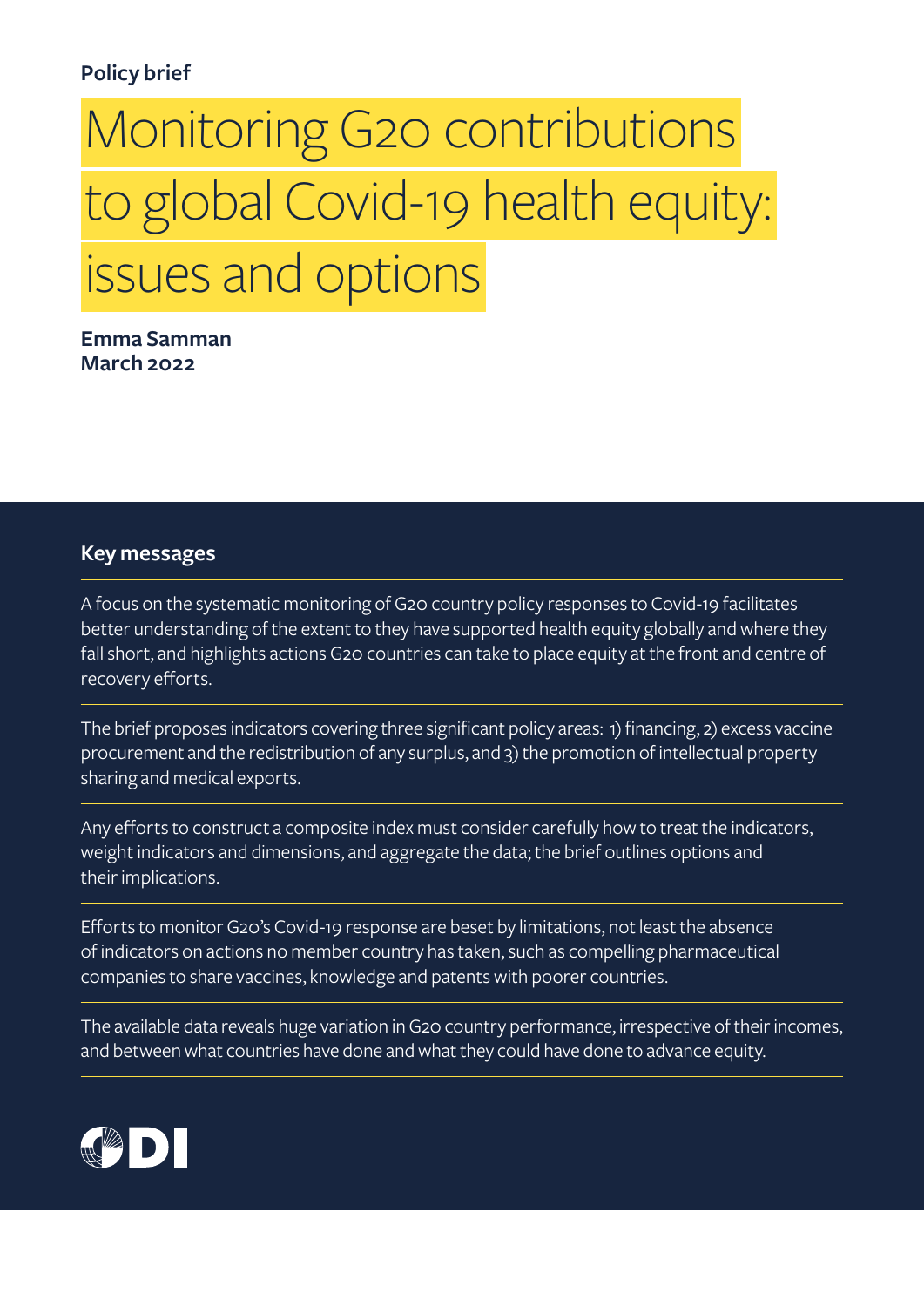# **Policy brief**

# Monitoring G20 contributions   to global Covid-19 health equity:   issues and options

**Emma Samman March 2022**

#### **Key messages**

A focus on the systematic monitoring of G20 country policy responses to Covid-19 facilitates better understanding of the extent to they have supported health equity globally and where they fall short, and highlights actions G20 countries can take to place equity at the front and centre of recovery efforts.

The brief proposes indicators covering three significant policy areas: 1) financing, 2) excess vaccine procurement and the redistribution of any surplus, and 3) the promotion of intellectual property sharing and medical exports.

Any efforts to construct a composite index must consider carefully how to treat the indicators, weight indicators and dimensions, and aggregate the data; the brief outlines options and their implications.

Efforts to monitor G20's Covid-19 response are beset by limitations, not least the absence of indicators on actions no member country has taken, such as compelling pharmaceutical companies to share vaccines, knowledge and patents with poorer countries.

The available data reveals huge variation in G20 country performance, irrespective of their incomes, and between what countries have done and what they could have done to advance equity.

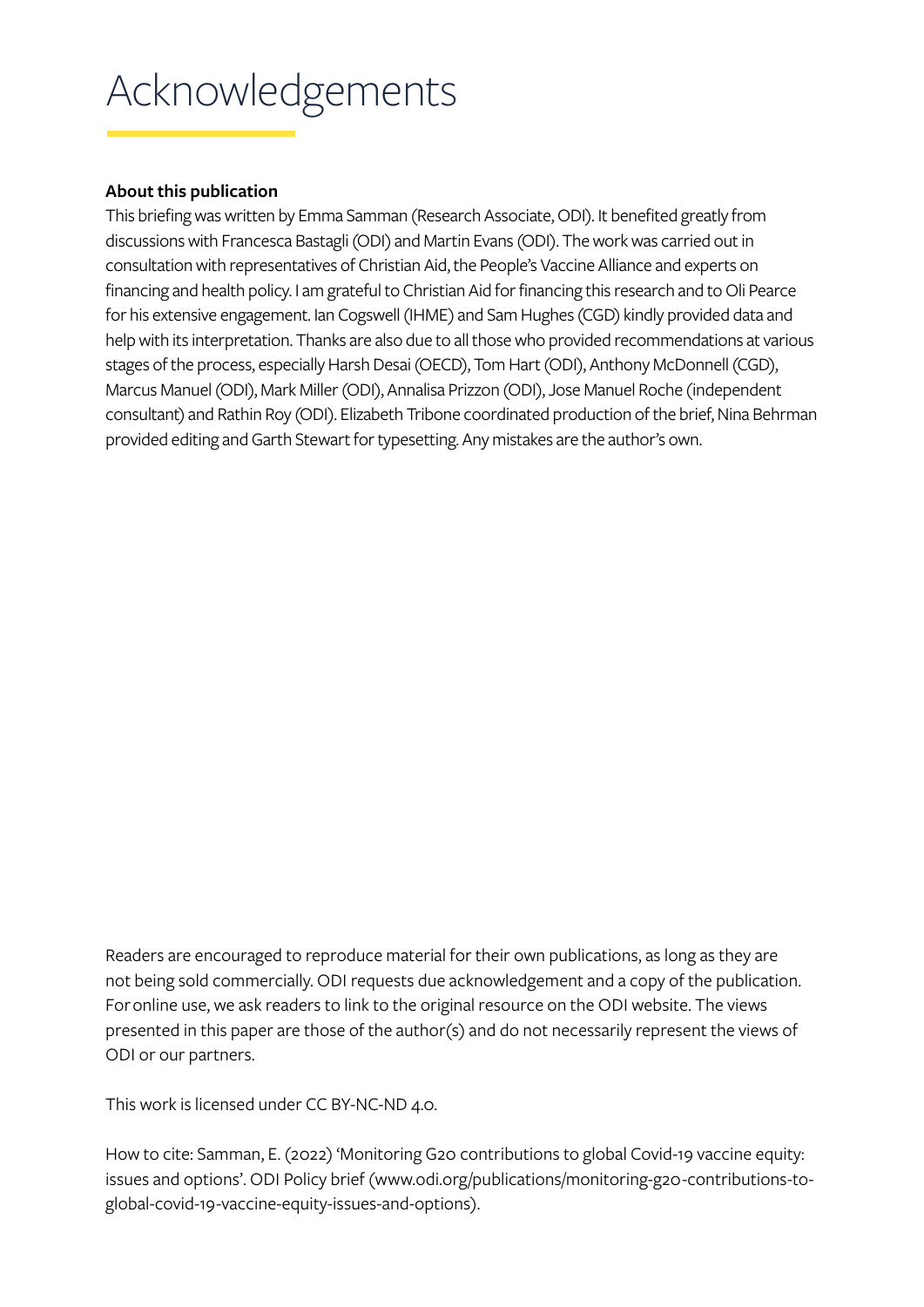# Acknowledgements

#### **About this publication**

This briefing was written by Emma Samman (Research Associate, ODI). It benefited greatly from discussions with Francesca Bastagli (ODI) and Martin Evans (ODI). The work was carried out in consultation with representatives of Christian Aid, the People's Vaccine Alliance and experts on financing and health policy. I am grateful to Christian Aid for financing this research and to Oli Pearce for his extensive engagement. Ian Cogswell (IHME) and Sam Hughes (CGD) kindly provided data and help with its interpretation. Thanks are also due to all those who provided recommendations at various stages of the process, especially Harsh Desai (OECD), Tom Hart (ODI), Anthony McDonnell (CGD), Marcus Manuel (ODI), Mark Miller (ODI), Annalisa Prizzon (ODI), Jose Manuel Roche (independent consultant) and Rathin Roy (ODI). Elizabeth Tribone coordinated production of the brief, Nina Behrman provided editing and Garth Stewart for typesetting. Any mistakes are the author's own.

Readers are encouraged to reproduce material for their own publications, as long as they are not being sold commercially. ODI requests due acknowledgement and a copy of the publication. For online use, we ask readers to link to the original resource on the ODI website. The views presented in this paper are those of the author(s) and do not necessarily represent the views of ODI or our partners.

This work is licensed under CC BY-NC-ND 4.0.

How to cite: Samman, E. (2022) 'Monitoring G20 contributions to global Covid-19 vaccine equity: issues and options'. ODI Policy brief ([www.odi.org/publications/monitoring-g20-contributions-to](http://www.odi.org/publications/monitoring-g20-contributions-to-global-covid-19-vaccine-equity-issues-and-o)[global-covid-19-vaccine-equity-issues-and-options](http://www.odi.org/publications/monitoring-g20-contributions-to-global-covid-19-vaccine-equity-issues-and-o)).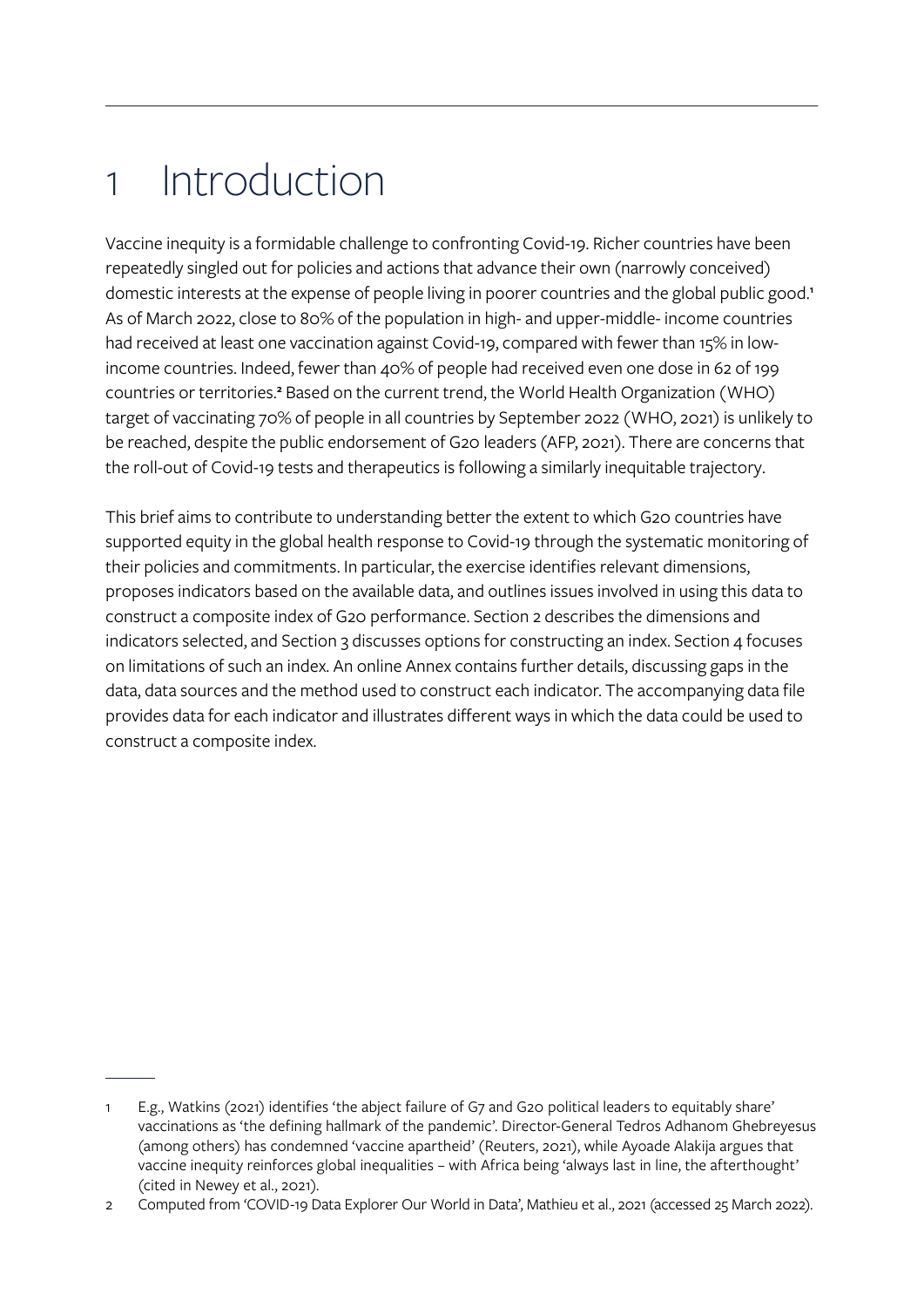# 1 Introduction

Vaccine inequity is a formidable challenge to confronting Covid-19. Richer countries have been repeatedly singled out for policies and actions that advance their own (narrowly conceived) domestic interests at the expense of people living in poorer countries and the global public good. **1** As of March 2022, close to 80% of the population in high- and upper-middle- income countries had received at least one vaccination against Covid-19, compared with fewer than 15% in lowincome countries. Indeed, fewer than 40% of people had received even one dose in 62 of 199 countries or territories.<sup>2</sup> Based on the current trend, the World Health Organization (WHO) target of vaccinating 70% of people in all countries by September 2022 (WHO, 2021) is unlikely to be reached, despite the public endorsement of G20 leaders (AFP, 2021). There are concerns that the roll-out of Covid-19 tests and therapeutics is following a similarly inequitable trajectory.

This brief aims to contribute to understanding better the extent to which G20 countries have supported equity in the global health response to Covid-19 through the systematic monitoring of their policies and commitments. In particular, the exercise identifies relevant dimensions, proposes indicators based on the available data, and outlines issues involved in using this data to construct a composite index of G20 performance. Section 2 describes the dimensions and indicators selected, and Section 3 discusses options for constructing an index. Section 4 focuses on limitations of such an index. An online Annex contains further details, discussing gaps in the data, data sources and the method used to construct each indicator. The accompanying data file provides data for each indicator and illustrates different ways in which the data could be used to construct a composite index.

<sup>1</sup> E.g., Watkins (2021) identifies 'the abject failure of G7 and G20 political leaders to equitably share' vaccinations as 'the defining hallmark of the pandemic'. Director-General Tedros Adhanom Ghebreyesus (among others) has condemned 'vaccine apartheid' (Reuters, 2021), while Ayoade Alakija argues that vaccine inequity reinforces global inequalities – with Africa being 'always last in line, the afterthought' (cited in Newey et al., 2021).

<sup>2</sup> Computed from 'COVID-19 Data Explorer Our World in Data', Mathieu et al., 2021 (accessed 25 March 2022).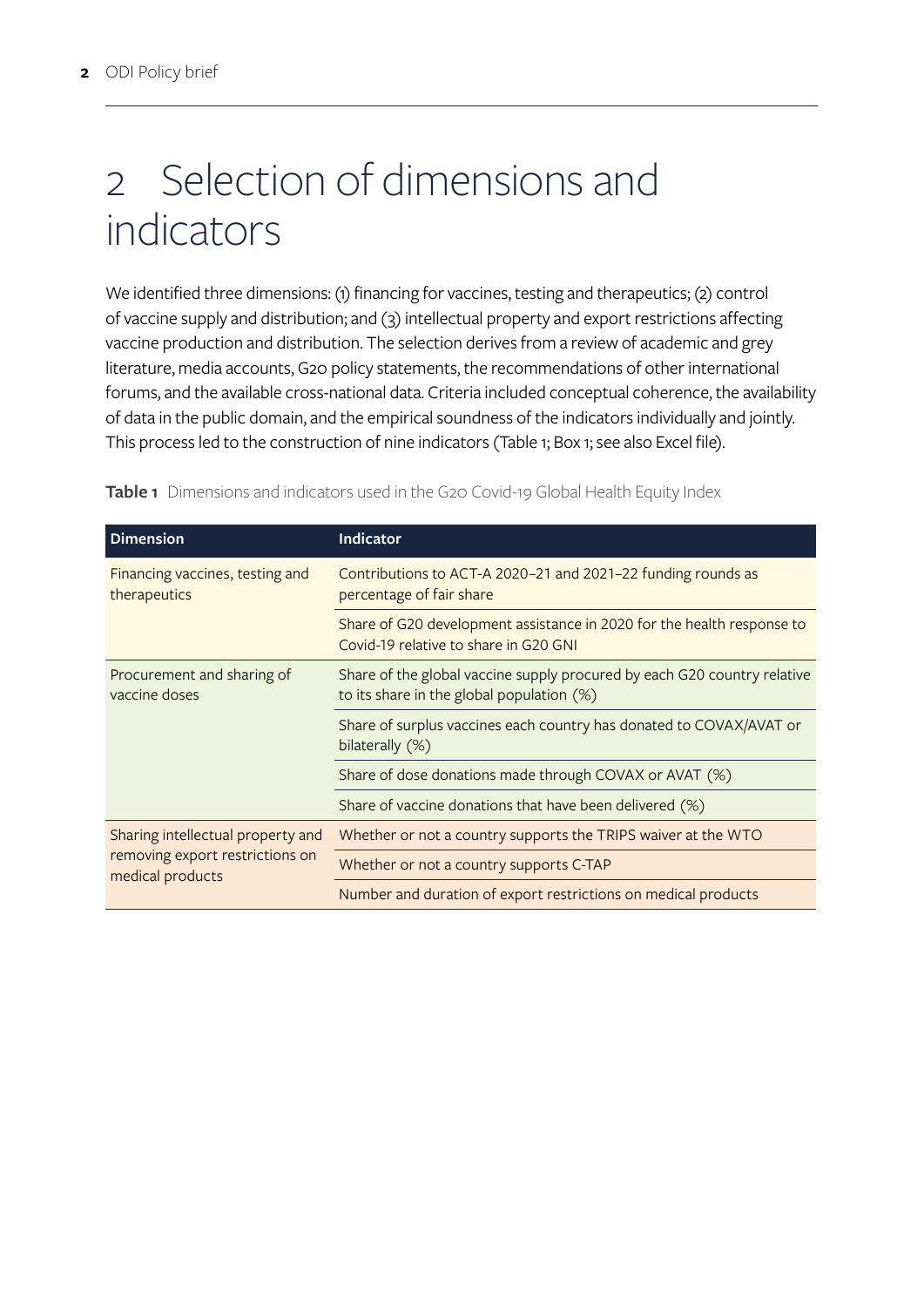# 2 Selection of dimensions and indicators

We identified three dimensions: (1) financing for vaccines, testing and therapeutics; (2) control of vaccine supply and distribution; and (3) intellectual property and export restrictions affecting vaccine production and distribution. The selection derives from a review of academic and grey literature, media accounts, G20 policy statements, the recommendations of other international forums, and the available cross-national data. Criteria included conceptual coherence, the availability of data in the public domain, and the empirical soundness of the indicators individually and jointly. This process led to the construction of nine indicators (Table 1; Box 1; see also Excel file).

| <b>Dimension</b>                                                                         | <b>Indicator</b>                                                                                                      |  |  |
|------------------------------------------------------------------------------------------|-----------------------------------------------------------------------------------------------------------------------|--|--|
| Financing vaccines, testing and<br>therapeutics                                          | Contributions to ACT-A 2020-21 and 2021-22 funding rounds as<br>percentage of fair share                              |  |  |
|                                                                                          | Share of G20 development assistance in 2020 for the health response to<br>Covid-19 relative to share in G20 GNI       |  |  |
| Procurement and sharing of<br>vaccine doses                                              | Share of the global vaccine supply procured by each G20 country relative<br>to its share in the global population (%) |  |  |
|                                                                                          | Share of surplus vaccines each country has donated to COVAX/AVAT or<br>bilaterally (%)                                |  |  |
|                                                                                          | Share of dose donations made through COVAX or AVAT (%)                                                                |  |  |
|                                                                                          | Share of vaccine donations that have been delivered (%)                                                               |  |  |
| Sharing intellectual property and<br>removing export restrictions on<br>medical products | Whether or not a country supports the TRIPS waiver at the WTO                                                         |  |  |
|                                                                                          | Whether or not a country supports C-TAP                                                                               |  |  |
|                                                                                          | Number and duration of export restrictions on medical products                                                        |  |  |

**Table 1** Dimensions and indicators used in the G20 Covid-19 Global Health Equity Index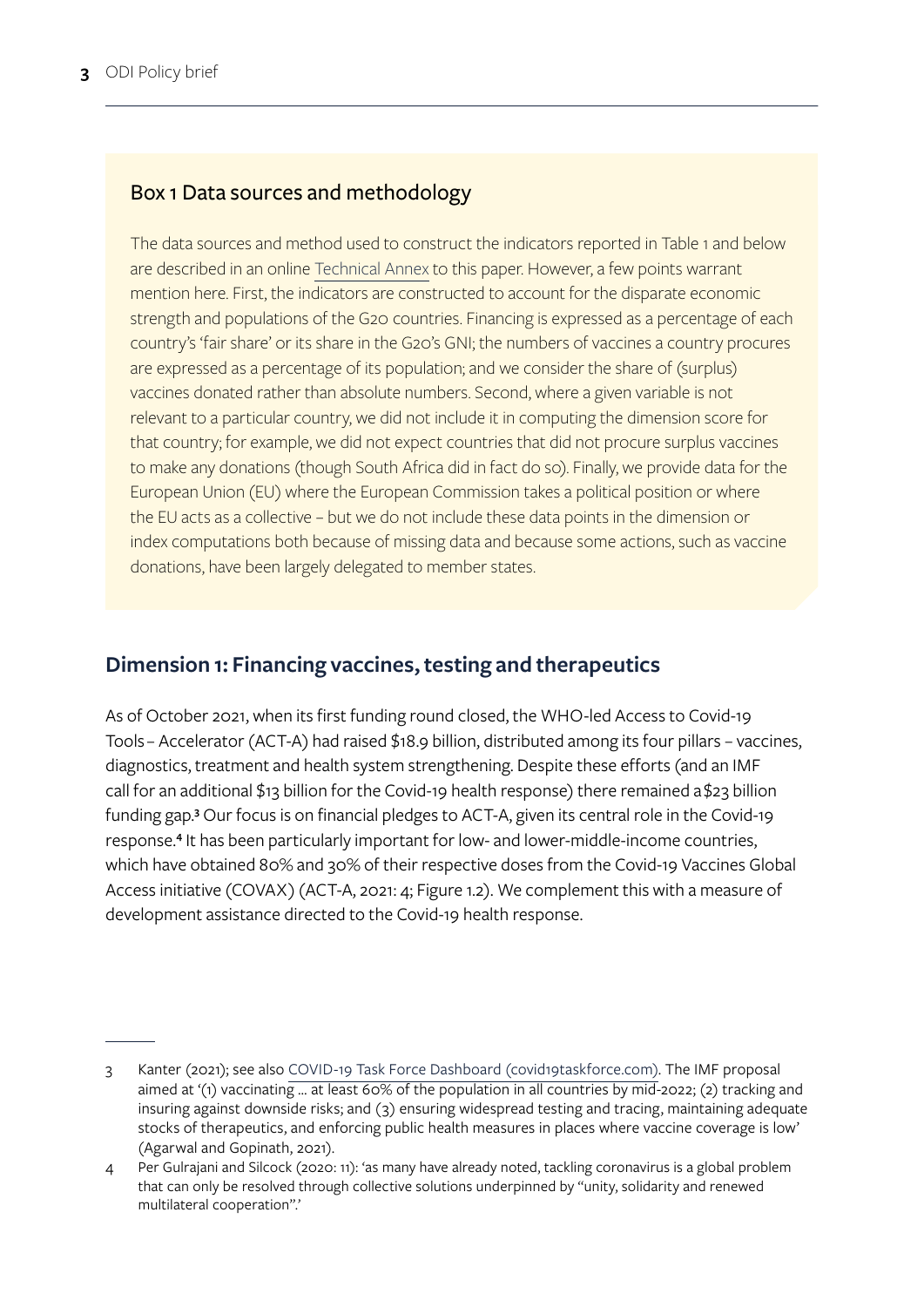# Box 1 Data sources and methodology

The data sources and method used to construct the indicators reported in Table 1 and below are described in an online [Technical Annex](https://odi.org/en/publications/monitoring-g20-contributions-to-global-covid-19-vaccine-equity-issues-and-options/) to this paper. However, a few points warrant mention here. First, the indicators are constructed to account for the disparate economic strength and populations of the G20 countries. Financing is expressed as a percentage of each country's 'fair share' or its share in the G20's GNI; the numbers of vaccines a country procures are expressed as a percentage of its population; and we consider the share of (surplus) vaccines donated rather than absolute numbers. Second, where a given variable is not relevant to a particular country, we did not include it in computing the dimension score for that country; for example, we did not expect countries that did not procure surplus vaccines to make any donations (though South Africa did in fact do so). Finally, we provide data for the European Union (EU) where the European Commission takes a political position or where the EU acts as a collective – but we do not include these data points in the dimension or index computations both because of missing data and because some actions, such as vaccine donations, have been largely delegated to member states.

# **Dimension 1: Financing vaccines, testing and therapeutics**

As of October 2021, when its first funding round closed, the WHO-led Access to Covid-19 Tools – Accelerator (ACT-A) had raised \$18.9 billion, distributed among its four pillars – vaccines, diagnostics, treatment and health system strengthening. Despite these efforts (and an IMF call for an additional \$13 billion for the Covid-19 health response) there remained a [\\$23 billion](https://data.covid19taskforce.com/data/tools/financing-gaps)  [funding gap](https://data.covid19taskforce.com/data/tools/financing-gaps).<sup>3</sup> Our focus is on financial pledges to ACT-A, given its central role in the Covid-19 response.<sup>4</sup> It has been particularly important for low- and lower-middle-income countries, which have obtained 80% and 30% of their respective doses from the Covid-19 Vaccines Global Access initiative (COVAX) (ACT-A, 2021: 4; Figure 1.2). We complement this with a measure of development assistance directed to the Covid-19 health response.

<sup>3</sup> Kanter (2021); see also [COVID-19 Task Force Dashboard \(covid19taskforce.com\)](https://data.covid19taskforce.com/data/tools/financing-gaps). The IMF proposal aimed at '(1) vaccinating … at least 60% of the population in all countries by mid-2022; (2) tracking and insuring against downside risks; and (3) ensuring widespread testing and tracing, maintaining adequate stocks of therapeutics, and enforcing public health measures in places where vaccine coverage is low' (Agarwal and Gopinath, 2021).

<sup>4</sup> Per Gulrajani and Silcock (2020: 11): 'as many have already noted, tackling coronavirus is a global problem that can only be resolved through collective solutions underpinned by "unity, solidarity and renewed multilateral cooperation".'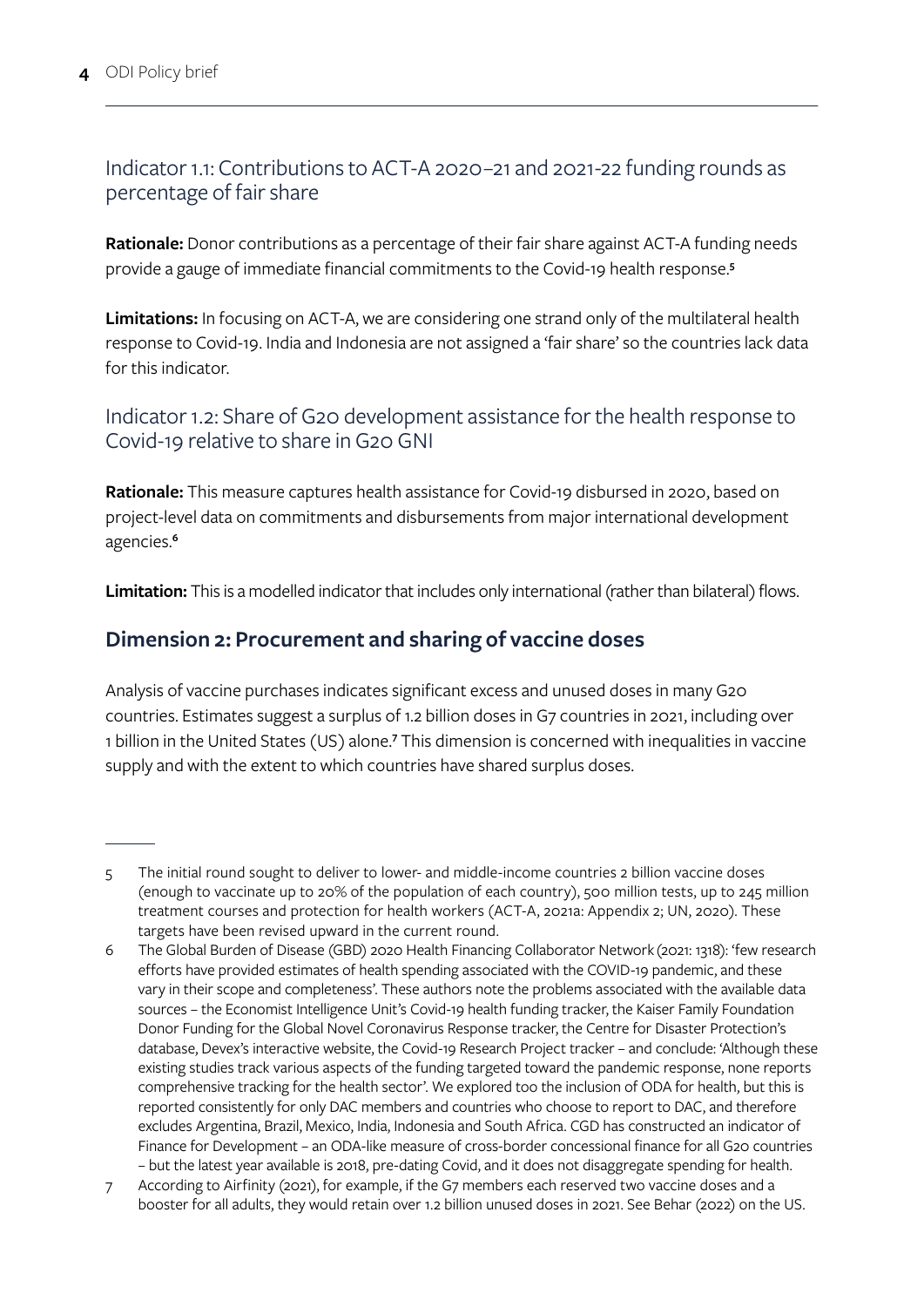### Indicator 1.1: Contributions to ACT-A 2020–21 and 2021-22 funding rounds as percentage of fair share

**Rationale:** Donor contributions as a percentage of their fair share against ACT-A funding needs provide a gauge of immediate financial commitments to the Covid-19 health response.**<sup>5</sup>**

**Limitations:** In focusing on ACT-A, we are considering one strand only of the multilateral health response to Covid-19. India and Indonesia are not assigned a 'fair share' so the countries lack data for this indicator.

Indicator 1.2: Share of G20 development assistance for the health response to Covid-19 relative to share in G20 GNI

**Rationale:** This measure captures health assistance for Covid-19 disbursed in 2020, based on project-level data on commitments and disbursements from major international development agencies.**<sup>6</sup>**

**Limitation:** This is a modelled indicator that includes only international (rather than bilateral) flows.

### **Dimension 2: Procurement and sharing of vaccine doses**

Analysis of vaccine purchases indicates significant excess and unused doses in many G20 countries. Estimates suggest a surplus of 1.2 billion doses in G7 countries in 2021, including over 1 billion in the United States (US) alone.<sup>7</sup> This dimension is concerned with inequalities in vaccine supply and with the extent to which countries have shared surplus doses.

<sup>5</sup> The initial round sought to deliver to lower- and middle-income countries 2 billion vaccine doses (enough to vaccinate up to 20% of the population of each country), 500 million tests, up to 245 million treatment courses and protection for health workers (ACT-A, 2021a: Appendix 2; UN, 2020). These targets have been revised upward in the current round.

<sup>6</sup> The [Global Burden of Disease \(GBD\) 2020 Health Financing Collaborator Network](https://www.thelancet.com/journals/lancet/article/PIIS0140-6736(21)01258-7/fulltext) (2021: 1318): 'few research efforts have provided estimates of health spending associated with the COVID-19 pandemic, and these vary in their scope and completeness'. These authors note the problems associated with the available data sources – the Economist Intelligence Unit's Covid-19 health funding tracker, the Kaiser Family Foundation Donor Funding for the Global Novel Coronavirus Response tracker, the Centre for Disaster Protection's database, Devex's interactive website, the Covid-19 Research Project tracker – and conclude: 'Although these existing studies track various aspects of the funding targeted toward the pandemic response, none reports comprehensive tracking for the health sector'. We explored too the inclusion of ODA for health, but this is reported consistently for only DAC members and countries who choose to report to DAC, and therefore excludes Argentina, Brazil, Mexico, India, Indonesia and South Africa. CGD has constructed an indicator of Finance for Development – an ODA-like measure of cross-border concessional finance for all G20 countries – but the latest year available is 2018, pre-dating Covid, and it does not disaggregate spending for health.

<sup>7</sup> According to Airfinity (2021), for example, if the G7 members each reserved two vaccine doses and a booster for all adults, they would retain over 1.2 billion unused doses in 2021. See Behar (2022) on the US.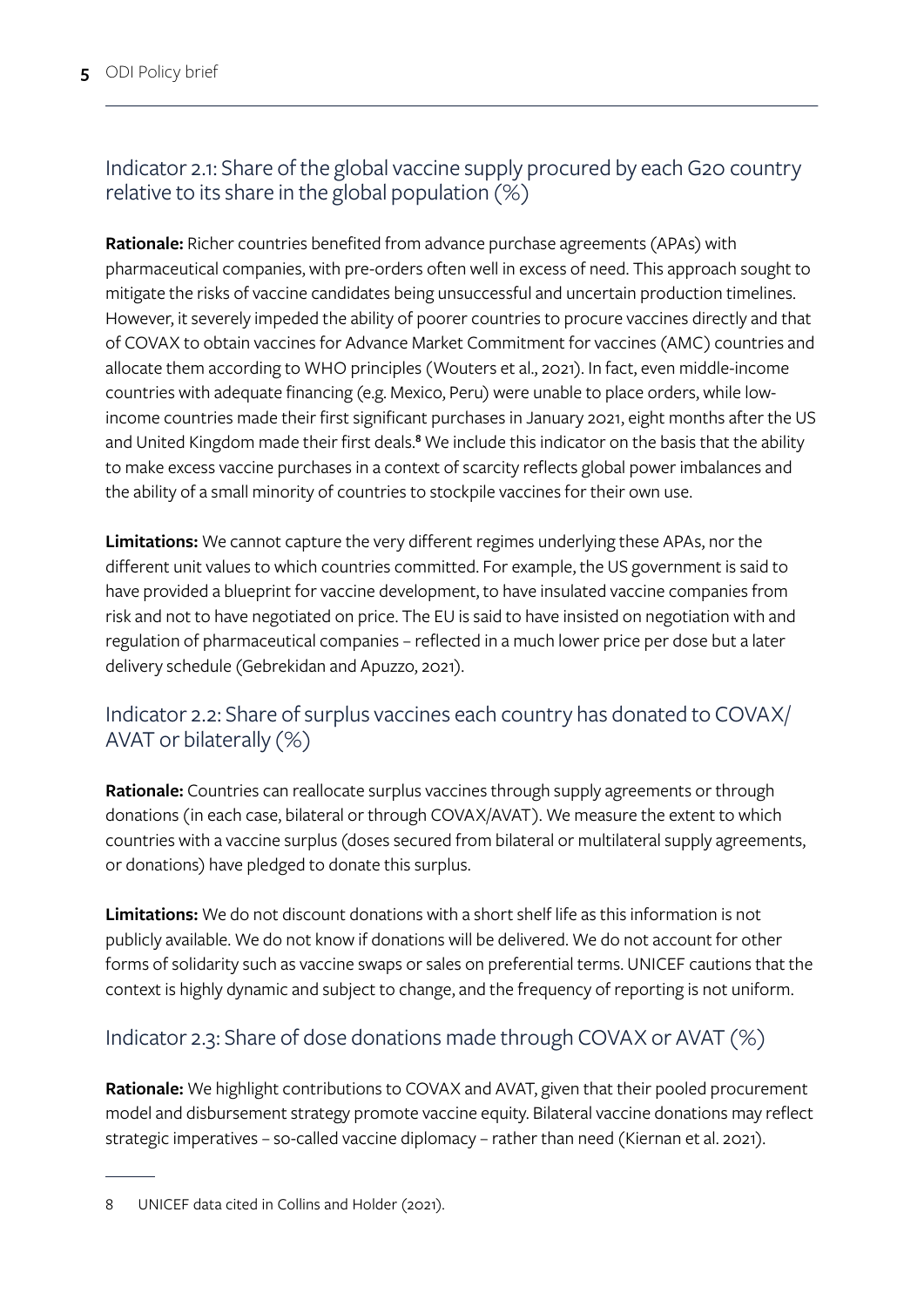# Indicator 2.1: Share of the global vaccine supply procured by each G20 country relative to its share in the global population (%)

**Rationale:** Richer countries benefited from advance purchase agreements (APAs) with pharmaceutical companies, with pre-orders often well in excess of need. This approach sought to mitigate the risks of vaccine candidates being unsuccessful and uncertain production timelines. However, it severely impeded the ability of poorer countries to procure vaccines directly and that of COVAX to obtain vaccines for Advance Market Commitment for vaccines (AMC) countries and allocate them according to WHO principles (Wouters et al., 2021). In fact, even middle-income countries with adequate financing (e.g. Mexico, Peru) were unable to place orders, while lowincome countries made their first significant purchases in January 2021, eight months after the US and United Kingdom made their first deals.**<sup>8</sup>** We include this indicator on the basis that the ability to make excess vaccine purchases in a context of scarcity reflects global power imbalances and the ability of a small minority of countries to stockpile vaccines for their own use.

**Limitations:** We cannot capture the very different regimes underlying these APAs, nor the different unit values to which countries committed. For example, the US government is said to have provided a blueprint for vaccine development, to have insulated vaccine companies from risk and not to have negotiated on price. The EU is said to have insisted on negotiation with and regulation of pharmaceutical companies – reflected in a much lower price per dose but a later delivery schedule (Gebrekidan and Apuzzo, 2021).

## Indicator 2.2: Share of surplus vaccines each country has donated to COVAX/ AVAT or bilaterally (%)

**Rationale:** Countries can reallocate surplus vaccines through supply agreements or through donations (in each case, bilateral or through COVAX/AVAT). We measure the extent to which countries with a vaccine surplus (doses secured from bilateral or multilateral supply agreements, or donations) have pledged to donate this surplus.

**Limitations:** We do not discount donations with a short shelf life as this information is not publicly available. We do not know if donations will be delivered. We do not account for other forms of solidarity such as vaccine swaps or sales on preferential terms. UNICEF cautions that the context is highly dynamic and subject to change, and the frequency of reporting is not uniform.

# Indicator 2.3: Share of dose donations made through COVAX or AVAT (%)

**Rationale:** We highlight contributions to COVAX and AVAT, given that their pooled procurement model and disbursement strategy promote vaccine equity. Bilateral vaccine donations may reflect strategic imperatives – so-called vaccine diplomacy – rather than need (Kiernan et al. 2021).

<sup>8</sup> UNICEF data cited in Collins and Holder (2021).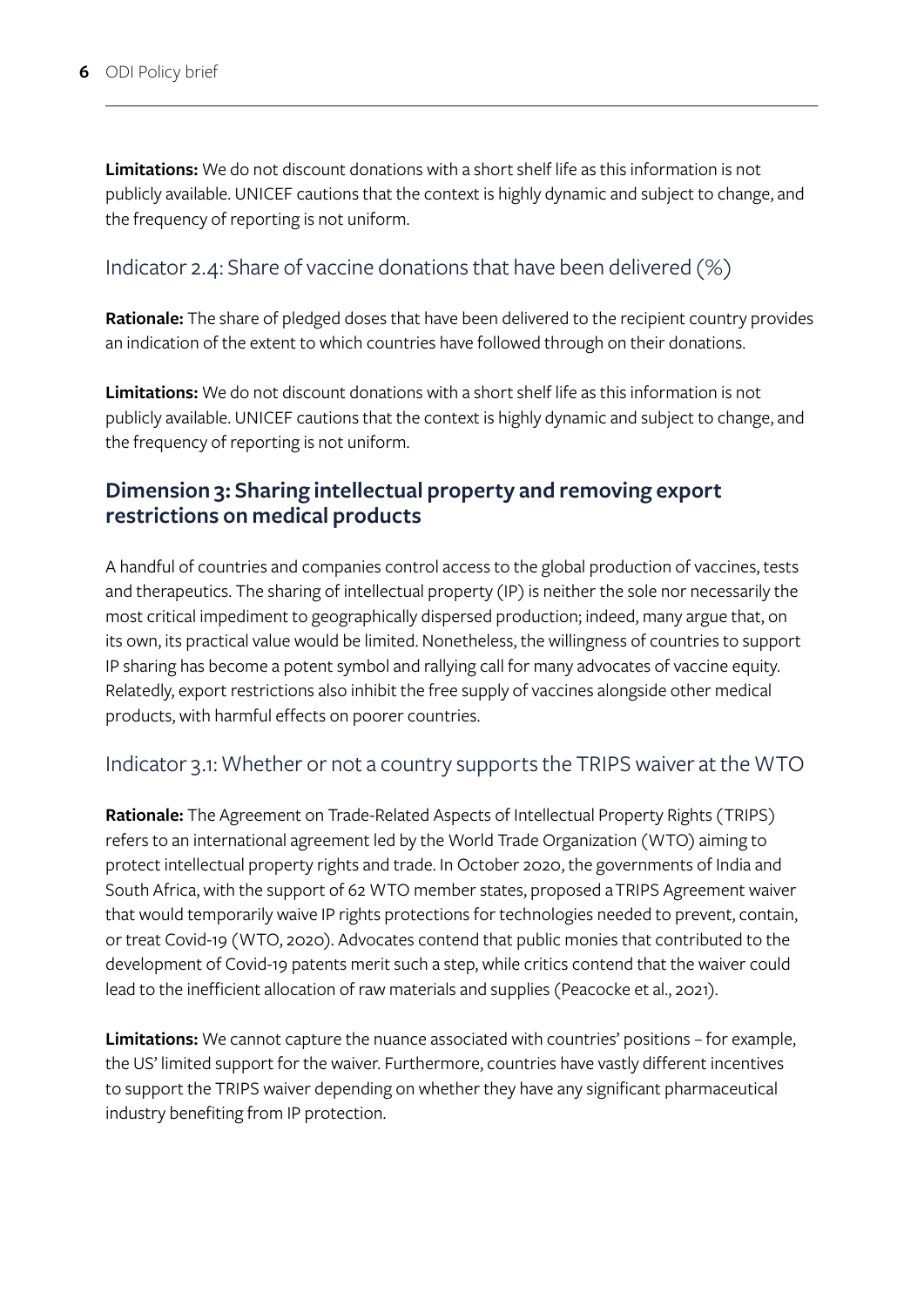**Limitations:** We do not discount donations with a short shelf life as this information is not publicly available. UNICEF cautions that the context is highly dynamic and subject to change, and the frequency of reporting is not uniform.

#### Indicator 2.4: Share of vaccine donations that have been delivered (%)

**Rationale:** The share of pledged doses that have been delivered to the recipient country provides an indication of the extent to which countries have followed through on their donations.

**Limitations:** We do not discount donations with a short shelf life as this information is not publicly available. UNICEF cautions that the context is highly dynamic and subject to change, and the frequency of reporting is not uniform.

### **Dimension 3: Sharing intellectual property and removing export restrictions on medical products**

A handful of countries and companies control access to the global production of vaccines, tests and therapeutics. The sharing of intellectual property (IP) is neither the sole nor necessarily the most critical impediment to geographically dispersed production; indeed, many argue that, on its own, its practical value would be limited. Nonetheless, the willingness of countries to support IP sharing has become a potent symbol and rallying call for many advocates of vaccine equity. Relatedly, export restrictions also inhibit the free supply of vaccines alongside other medical products, with harmful effects on poorer countries.

#### Indicator 3.1: Whether or not a country supports the TRIPS waiver at the WTO

**Rationale:** The Agreement on Trade-Related Aspects of Intellectual Property Rights (TRIPS) refers to an international agreement led by the World Trade Organization (WTO) aiming to protect intellectual property rights and trade. In October 2020, the governments of India and South Africa, with the support of 62 WTO member states, proposed a [TRIPS Agreement waiver](https://docs.wto.org/dol2fe/Pages/SS/directdoc.aspx?filename=q:/IP/C/W669.pdf&Open=True)  that would temporarily waive IP rights protections for technologies needed to prevent, contain, or treat Covid-19 (WTO, 2020). Advocates contend that public monies that contributed to the development of Covid-19 patents merit such a step, while critics contend that the waiver could lead to the inefficient allocation of raw materials and supplies (Peacocke et al., 2021).

**Limitations:** We cannot capture the nuance associated with countries' positions – for example, the US' limited support for the waiver. Furthermore, countries have vastly different incentives to support the TRIPS waiver depending on whether they have any significant pharmaceutical industry benefiting from IP protection.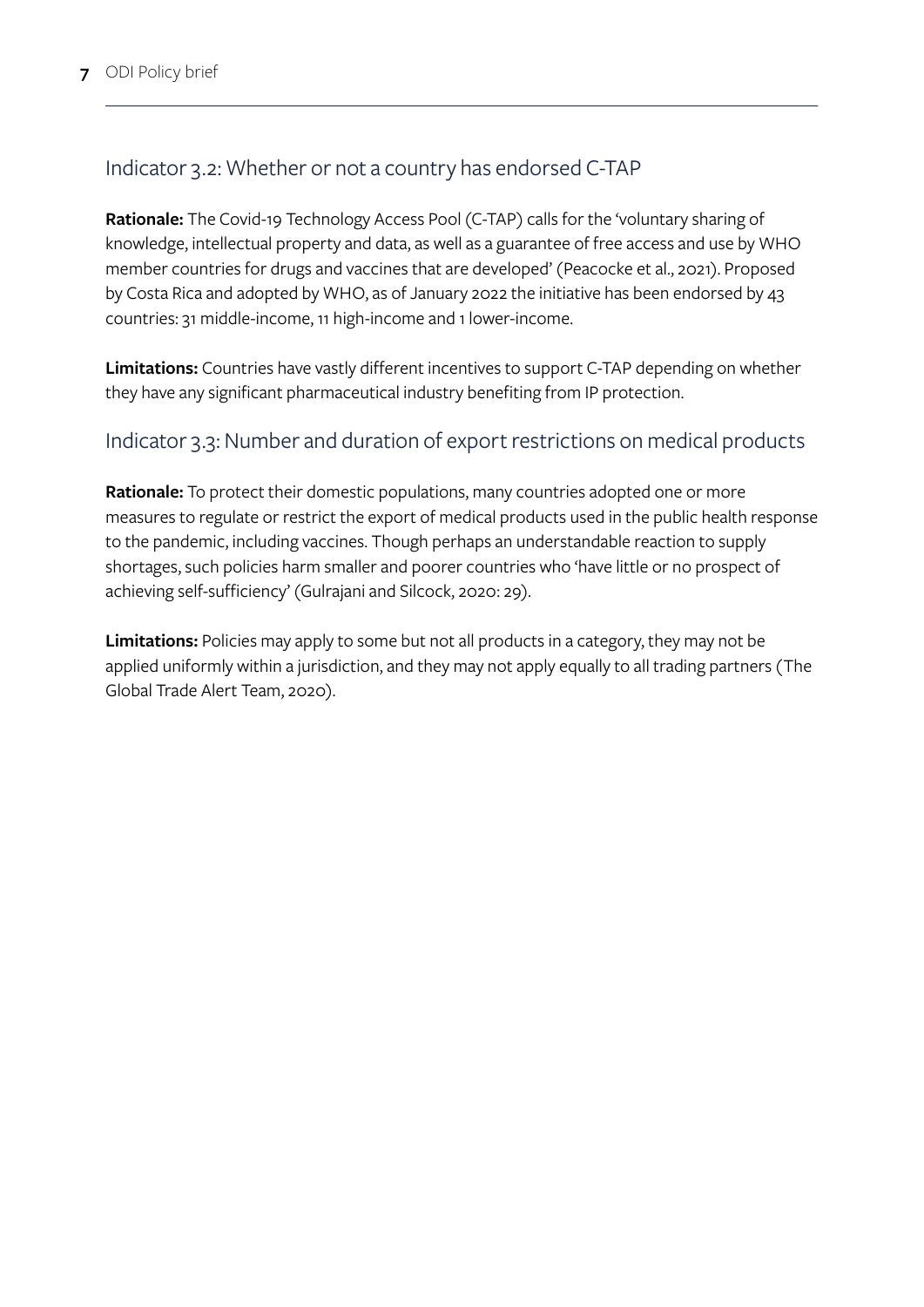## Indicator 3.2: Whether or not a country has endorsed C-TAP

**Rationale:** The Covid-19 Technology Access Pool (C-TAP) calls for the 'voluntary sharing of knowledge, intellectual property and data, as well as a guarantee of free access and use by WHO member countries for drugs and vaccines that are developed' (Peacocke et al., 2021). Proposed by Costa Rica and adopted by WHO, as of January 2022 the initiative has been endorsed by 43 countries: 31 middle-income, 11 high-income and 1 lower-income.

**Limitations:** Countries have vastly different incentives to support C-TAP depending on whether they have any significant pharmaceutical industry benefiting from IP protection.

#### Indicator 3.3: Number and duration of export restrictions on medical products

**Rationale:** To protect their domestic populations, many countries adopted one or more measures to regulate or restrict the export of medical products used in the public health response to the pandemic, including vaccines. Though perhaps an understandable reaction to supply shortages, such policies harm smaller and poorer countries who 'have little or no prospect of achieving self-sufficiency' (Gulrajani and Silcock, 2020: 29).

**Limitations:** Policies may apply to some but not all products in a category, they may not be applied uniformly within a jurisdiction, and they may not apply equally to all trading partners (The Global Trade Alert Team, 2020).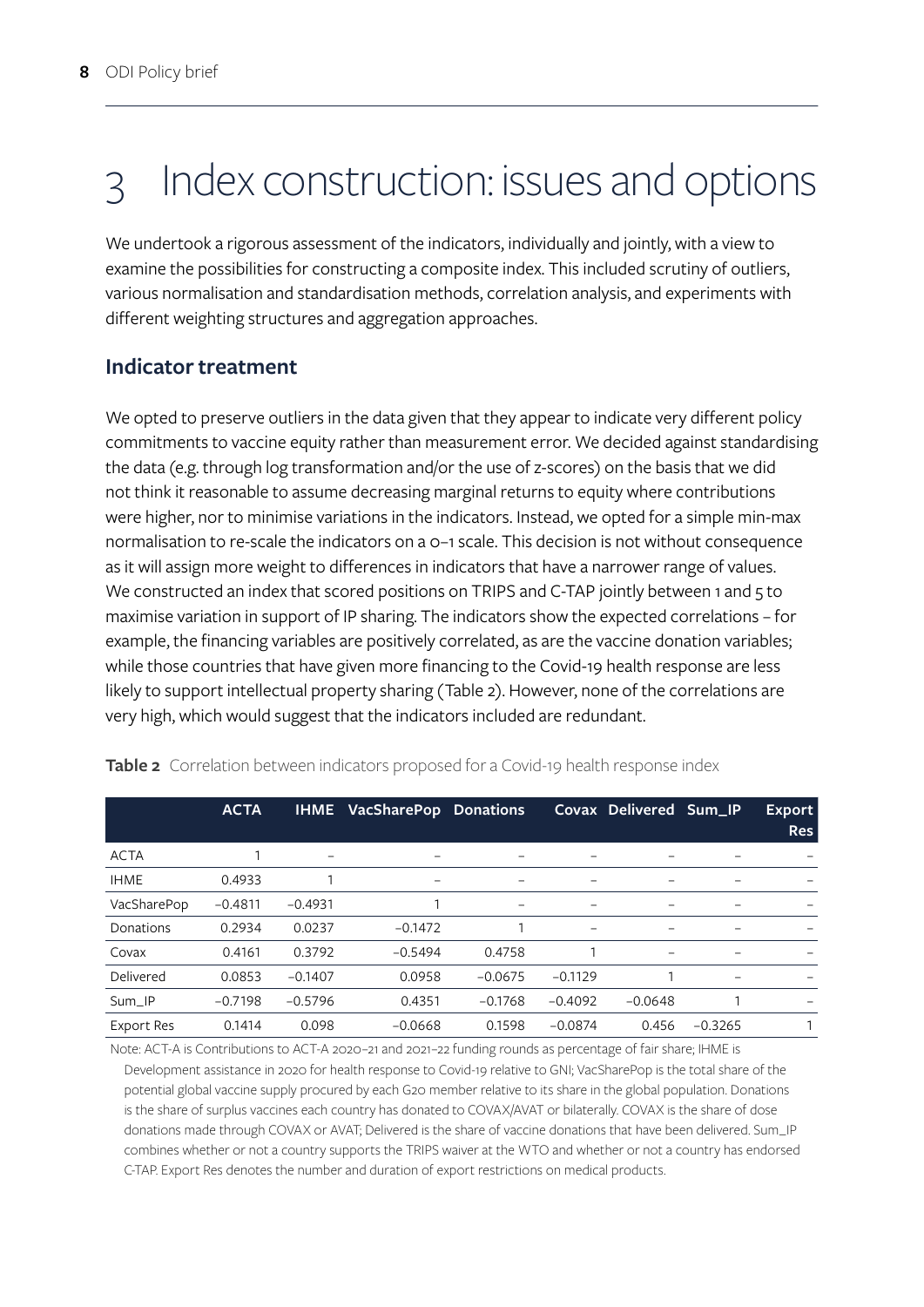# 3 Index construction: issues and options

We undertook a rigorous assessment of the indicators, individually and jointly, with a view to examine the possibilities for constructing a composite index. This included scrutiny of outliers, various normalisation and standardisation methods, correlation analysis, and experiments with different weighting structures and aggregation approaches.

### **Indicator treatment**

We opted to preserve outliers in the data given that they appear to indicate very different policy commitments to vaccine equity rather than measurement error. We decided against standardising the data (e.g. through log transformation and/or the use of z-scores) on the basis that we did not think it reasonable to assume decreasing marginal returns to equity where contributions were higher, nor to minimise variations in the indicators. Instead, we opted for a simple min-max normalisation to re-scale the indicators on a 0–1 scale. This decision is not without consequence as it will assign more weight to differences in indicators that have a narrower range of values. We constructed an index that scored positions on TRIPS and C-TAP jointly between 1 and 5 to maximise variation in support of IP sharing. The indicators show the expected correlations – for example, the financing variables are positively correlated, as are the vaccine donation variables; while those countries that have given more financing to the Covid-19 health response are less likely to support intellectual property sharing (Table 2). However, none of the correlations are very high, which would suggest that the indicators included are redundant.

|                   | <b>ACTA</b> | <b>IHME</b> | VacSharePop Donations    |           |           | Covax Delivered Sum_IP   |           | Export<br><b>Res</b> |
|-------------------|-------------|-------------|--------------------------|-----------|-----------|--------------------------|-----------|----------------------|
| <b>ACTA</b>       |             |             |                          |           |           |                          |           |                      |
| <b>IHME</b>       | 0.4933      |             | $\overline{\phantom{0}}$ | -         |           |                          |           |                      |
| VacSharePop       | $-0.4811$   | $-0.4931$   |                          | -         | -         |                          |           |                      |
| Donations         | 0.2934      | 0.0237      | $-0.1472$                |           | -         | $\overline{\phantom{0}}$ |           |                      |
| Covax             | 0.4161      | 0.3792      | $-0.5494$                | 0.4758    |           |                          |           |                      |
| Delivered         | 0.0853      | $-0.1407$   | 0.0958                   | $-0.0675$ | $-0.1129$ |                          |           |                      |
| Sum IP            | $-0.7198$   | $-0.5796$   | 0.4351                   | $-0.1768$ | $-0.4092$ | $-0.0648$                |           |                      |
| <b>Export Res</b> | 0.1414      | 0.098       | $-0.0668$                | 0.1598    | $-0.0874$ | 0.456                    | $-0.3265$ |                      |

**Table 2** Correlation between indicators proposed for a Covid-19 health response index

Note: ACT-A is Contributions to ACT-A 2020–21 and 2021–22 funding rounds as percentage of fair share; IHME is Development assistance in 2020 for health response to Covid-19 relative to GNI; VacSharePop is the total share of the potential global vaccine supply procured by each G20 member relative to its share in the global population. Donations is the share of surplus vaccines each country has donated to COVAX/AVAT or bilaterally. COVAX is the share of dose donations made through COVAX or AVAT; Delivered is the share of vaccine donations that have been delivered. Sum\_IP combines whether or not a country supports the TRIPS waiver at the WTO and whether or not a country has endorsed C-TAP. Export Res denotes the number and duration of export restrictions on medical products.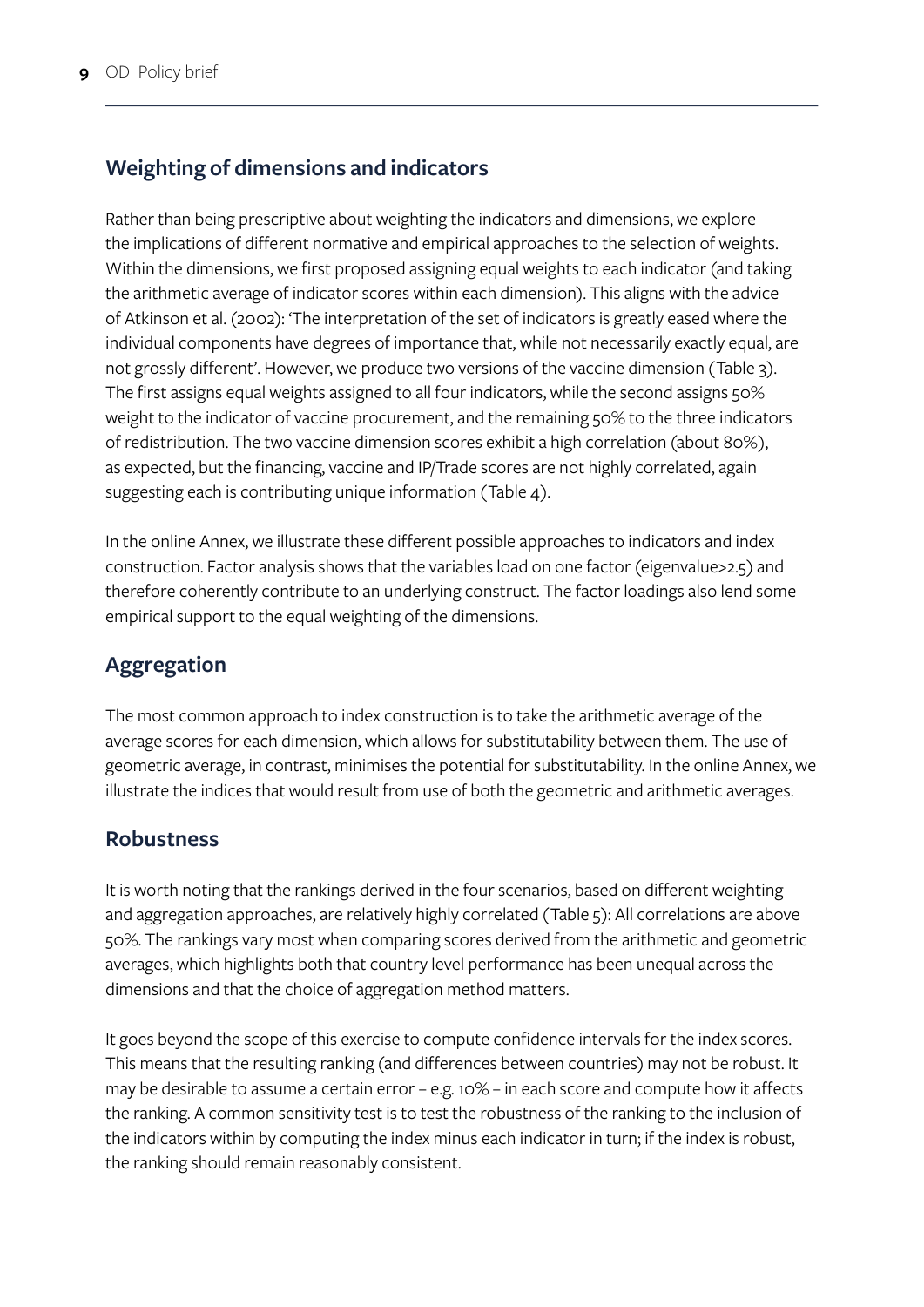# **Weighting of dimensions and indicators**

Rather than being prescriptive about weighting the indicators and dimensions, we explore the implications of different normative and empirical approaches to the selection of weights. Within the dimensions, we first proposed assigning equal weights to each indicator (and taking the arithmetic average of indicator scores within each dimension). This aligns with the advice of Atkinson et al. (2002): 'The interpretation of the set of indicators is greatly eased where the individual components have degrees of importance that, while not necessarily exactly equal, are not grossly different'. However, we produce two versions of the vaccine dimension (Table 3). The first assigns equal weights assigned to all four indicators, while the second assigns 50% weight to the indicator of vaccine procurement, and the remaining 50% to the three indicators of redistribution. The two vaccine dimension scores exhibit a high correlation (about 80%), as expected, but the financing, vaccine and IP/Trade scores are not highly correlated, again suggesting each is contributing unique information (Table 4).

In the online Annex, we illustrate these different possible approaches to indicators and index construction. Factor analysis shows that the variables load on one factor (eigenvalue>2.5) and therefore coherently contribute to an underlying construct. The factor loadings also lend some empirical support to the equal weighting of the dimensions.

# **Aggregation**

The most common approach to index construction is to take the arithmetic average of the average scores for each dimension, which allows for substitutability between them. The use of geometric average, in contrast, minimises the potential for substitutability. In the online Annex, we illustrate the indices that would result from use of both the geometric and arithmetic averages.

### **Robustness**

It is worth noting that the rankings derived in the four scenarios, based on different weighting and aggregation approaches, are relatively highly correlated (Table 5): All correlations are above 50%. The rankings vary most when comparing scores derived from the arithmetic and geometric averages, which highlights both that country level performance has been unequal across the dimensions and that the choice of aggregation method matters.

It goes beyond the scope of this exercise to compute confidence intervals for the index scores. This means that the resulting ranking (and differences between countries) may not be robust. It may be desirable to assume a certain error – e.g. 10% – in each score and compute how it affects the ranking. A common sensitivity test is to test the robustness of the ranking to the inclusion of the indicators within by computing the index minus each indicator in turn; if the index is robust, the ranking should remain reasonably consistent.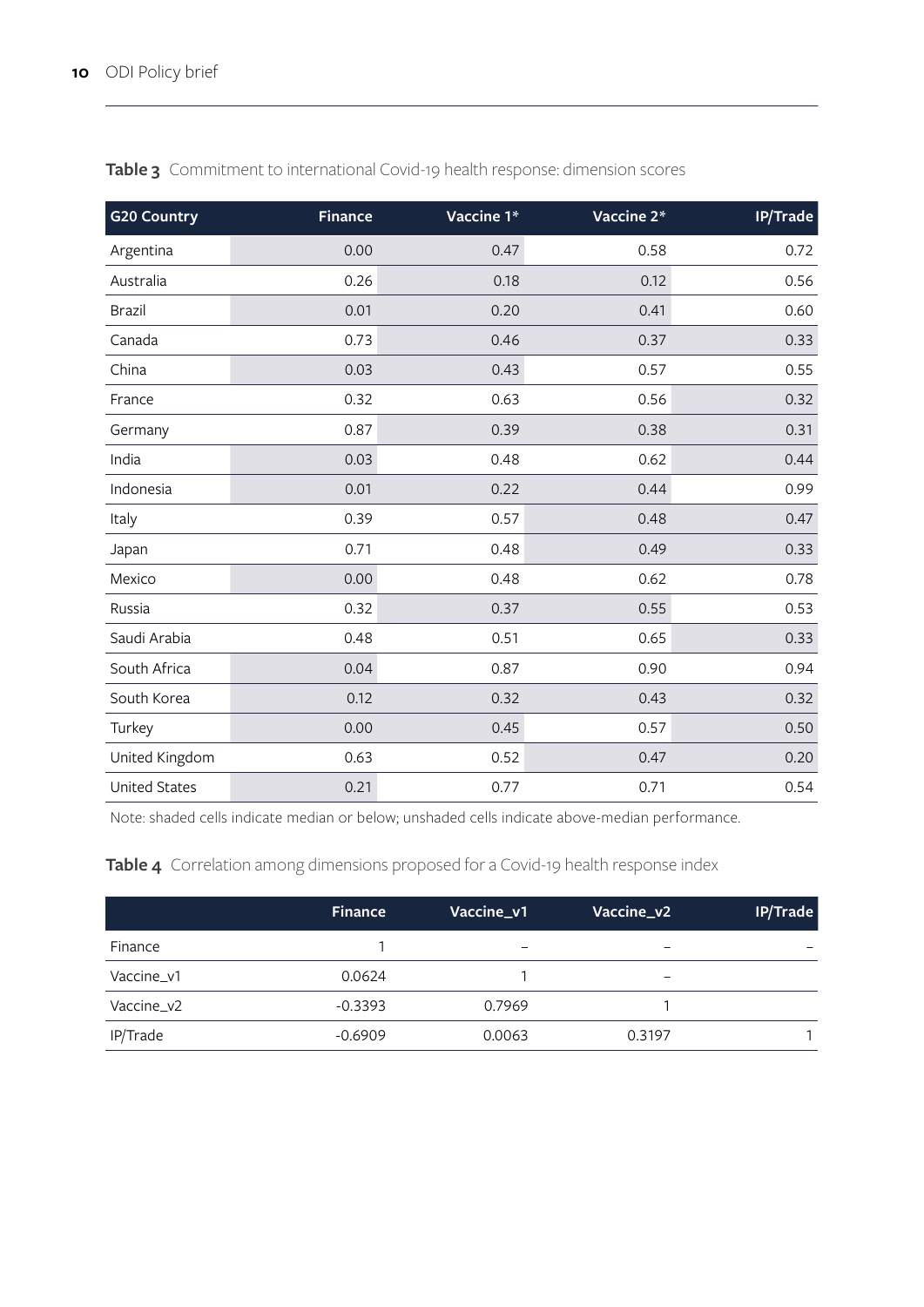| <b>G20 Country</b>   | <b>Finance</b> | Vaccine 1* | Vaccine 2* | IP/Trade |
|----------------------|----------------|------------|------------|----------|
| Argentina            | 0.00           | 0.47       | 0.58       | 0.72     |
| Australia            | 0.26           | 0.18       | 0.12       | 0.56     |
| <b>Brazil</b>        | 0.01           | 0.20       | 0.41       | 0.60     |
| Canada               | 0.73           | 0.46       | 0.37       | 0.33     |
| China                | 0.03           | 0.43       | 0.57       | 0.55     |
| France               | 0.32           | 0.63       | 0.56       | 0.32     |
| Germany              | 0.87           | 0.39       | 0.38       | 0.31     |
| India                | 0.03           | 0.48       | 0.62       | 0.44     |
| Indonesia            | 0.01           | 0.22       | 0.44       | 0.99     |
| Italy                | 0.39           | 0.57       | 0.48       | 0.47     |
| Japan                | 0.71           | 0.48       | 0.49       | 0.33     |
| Mexico               | 0.00           | 0.48       | 0.62       | 0.78     |
| Russia               | 0.32           | 0.37       | 0.55       | 0.53     |
| Saudi Arabia         | 0.48           | 0.51       | 0.65       | 0.33     |
| South Africa         | 0.04           | 0.87       | 0.90       | 0.94     |
| South Korea          | 0.12           | 0.32       | 0.43       | 0.32     |
| Turkey               | 0.00           | 0.45       | 0.57       | 0.50     |
| United Kingdom       | 0.63           | 0.52       | 0.47       | 0.20     |
| <b>United States</b> | 0.21           | 0.77       | 0.71       | 0.54     |

**Table 3** Commitment to international Covid-19 health response: dimension scores

Note: shaded cells indicate median or below; unshaded cells indicate above-median performance.

**Table 4** Correlation among dimensions proposed for a Covid-19 health response index

|            | <b>Finance</b> | Vaccine_v1               | Vaccine_v2 | IP/Trade |
|------------|----------------|--------------------------|------------|----------|
| Finance    |                | $\overline{\phantom{0}}$ |            |          |
| Vaccine_v1 | 0.0624         |                          | -          |          |
| Vaccine_v2 | $-0.3393$      | 0.7969                   |            |          |
| IP/Trade   | $-0.6909$      | 0.0063                   | 0.3197     |          |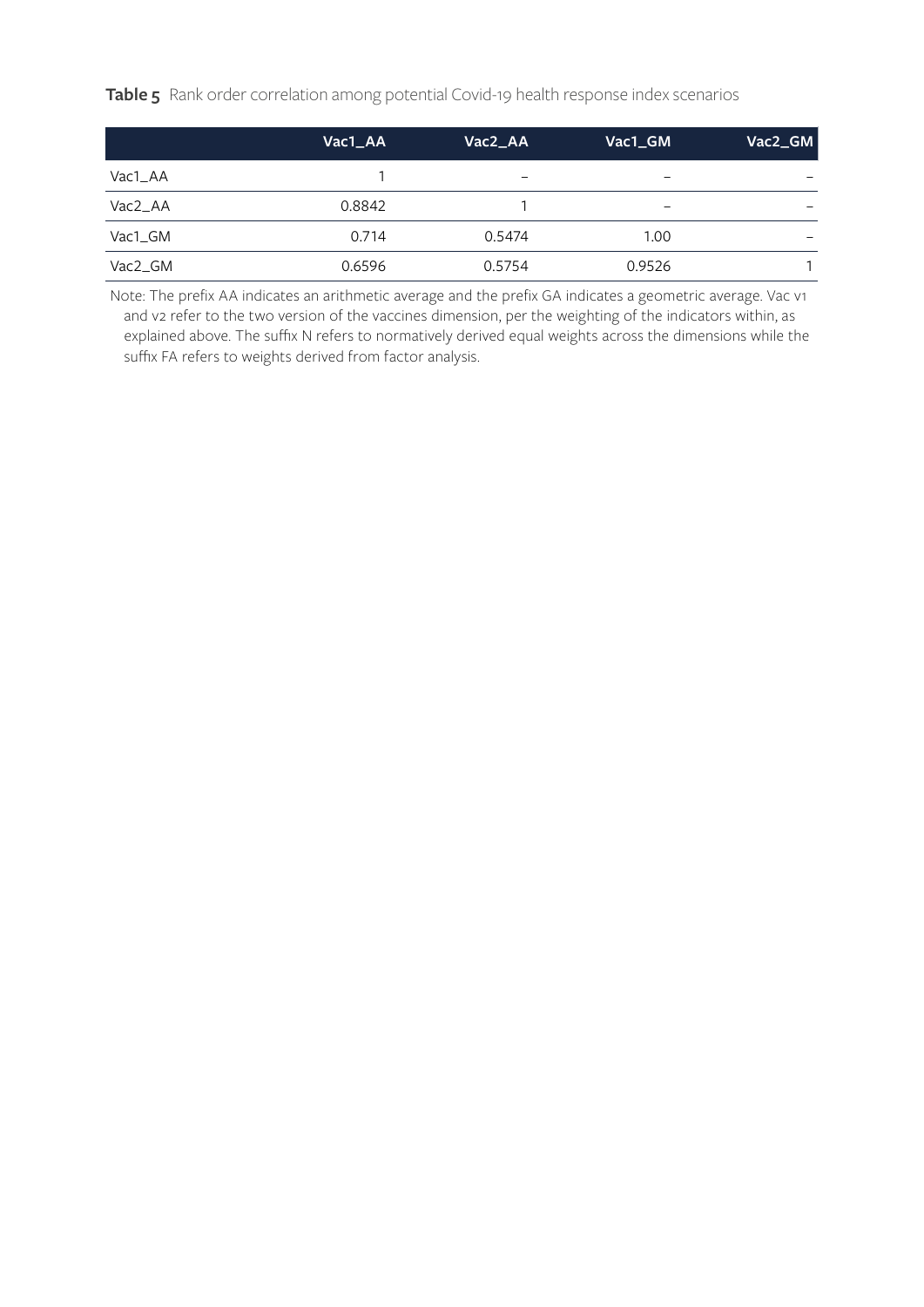**Table 5** Rank order correlation among potential Covid-19 health response index scenarios

|                     | Vac1_AA | Vac2_AA                  | Vac1_GM         | Vac2_GM                      |
|---------------------|---------|--------------------------|-----------------|------------------------------|
| Vac1_AA             |         | $\overline{\phantom{0}}$ |                 | $\qquad \qquad \blacksquare$ |
| Vac2_AA             | 0.8842  |                          | $\qquad \qquad$ |                              |
| Vac1 GM             | 0.714   | 0.5474                   | 1.00            |                              |
| Vac <sub>2</sub> GM | 0.6596  | 0.5754                   | 0.9526          |                              |

Note: The prefix AA indicates an arithmetic average and the prefix GA indicates a geometric average. Vac v1 and v2 refer to the two version of the vaccines dimension, per the weighting of the indicators within, as explained above. The suffix N refers to normatively derived equal weights across the dimensions while the suffix FA refers to weights derived from factor analysis.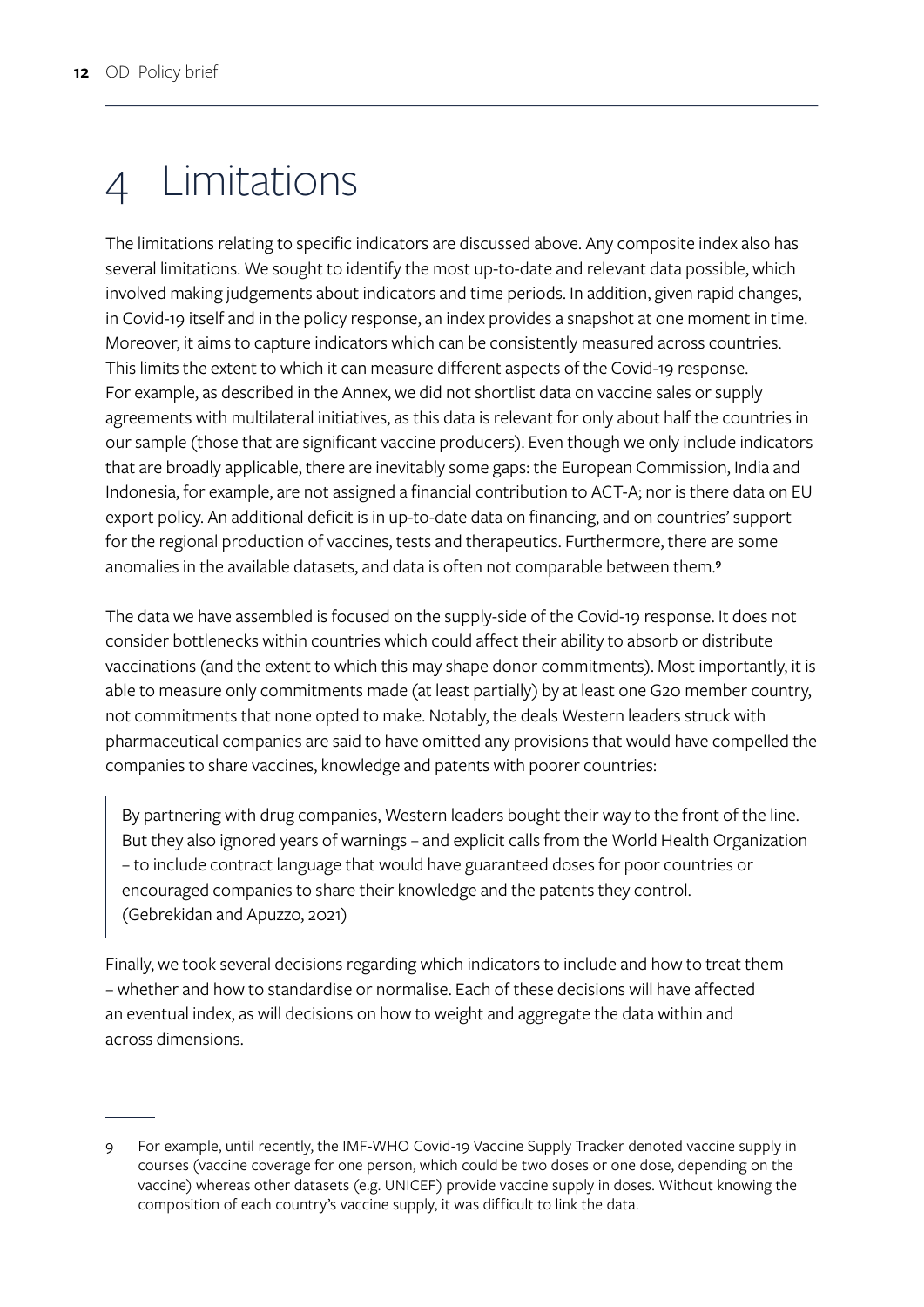# 4 Limitations

The limitations relating to specific indicators are discussed above. Any composite index also has several limitations. We sought to identify the most up-to-date and relevant data possible, which involved making judgements about indicators and time periods. In addition, given rapid changes, in Covid-19 itself and in the policy response, an index provides a snapshot at one moment in time. Moreover, it aims to capture indicators which can be consistently measured across countries. This limits the extent to which it can measure different aspects of the Covid-19 response. For example, as described in the Annex, we did not shortlist data on vaccine sales or supply agreements with multilateral initiatives, as this data is relevant for only about half the countries in our sample (those that are significant vaccine producers). Even though we only include indicators that are broadly applicable, there are inevitably some gaps: the European Commission, India and Indonesia, for example, are not assigned a financial contribution to ACT-A; nor is there data on EU export policy. An additional deficit is in up-to-date data on financing, and on countries' support for the regional production of vaccines, tests and therapeutics. Furthermore, there are some anomalies in the available datasets, and data is often not comparable between them.**<sup>9</sup>**

The data we have assembled is focused on the supply-side of the Covid-19 response. It does not consider bottlenecks within countries which could affect their ability to absorb or distribute vaccinations (and the extent to which this may shape donor commitments). Most importantly, it is able to measure only commitments made (at least partially) by at least one G20 member country, not commitments that none opted to make. Notably, the deals Western leaders struck with pharmaceutical companies are said to have omitted any provisions that would have compelled the companies to share vaccines, knowledge and patents with poorer countries:

By partnering with drug companies, Western leaders bought their way to the front of the line. But they also ignored years of warnings – and explicit calls from the World Health Organization – to include contract language that would have guaranteed doses for poor countries or encouraged companies to share their knowledge and the patents they control. (Gebrekidan and Apuzzo, 2021)

Finally, we took several decisions regarding which indicators to include and how to treat them – whether and how to standardise or normalise. Each of these decisions will have affected an eventual index, as will decisions on how to weight and aggregate the data within and across dimensions.

<sup>9</sup> For example, until recently, the IMF-WHO Covid-19 Vaccine Supply Tracker denoted vaccine supply in courses (vaccine coverage for one person, which could be two doses or one dose, depending on the vaccine) whereas other datasets (e.g. UNICEF) provide vaccine supply in doses. Without knowing the composition of each country's vaccine supply, it was difficult to link the data.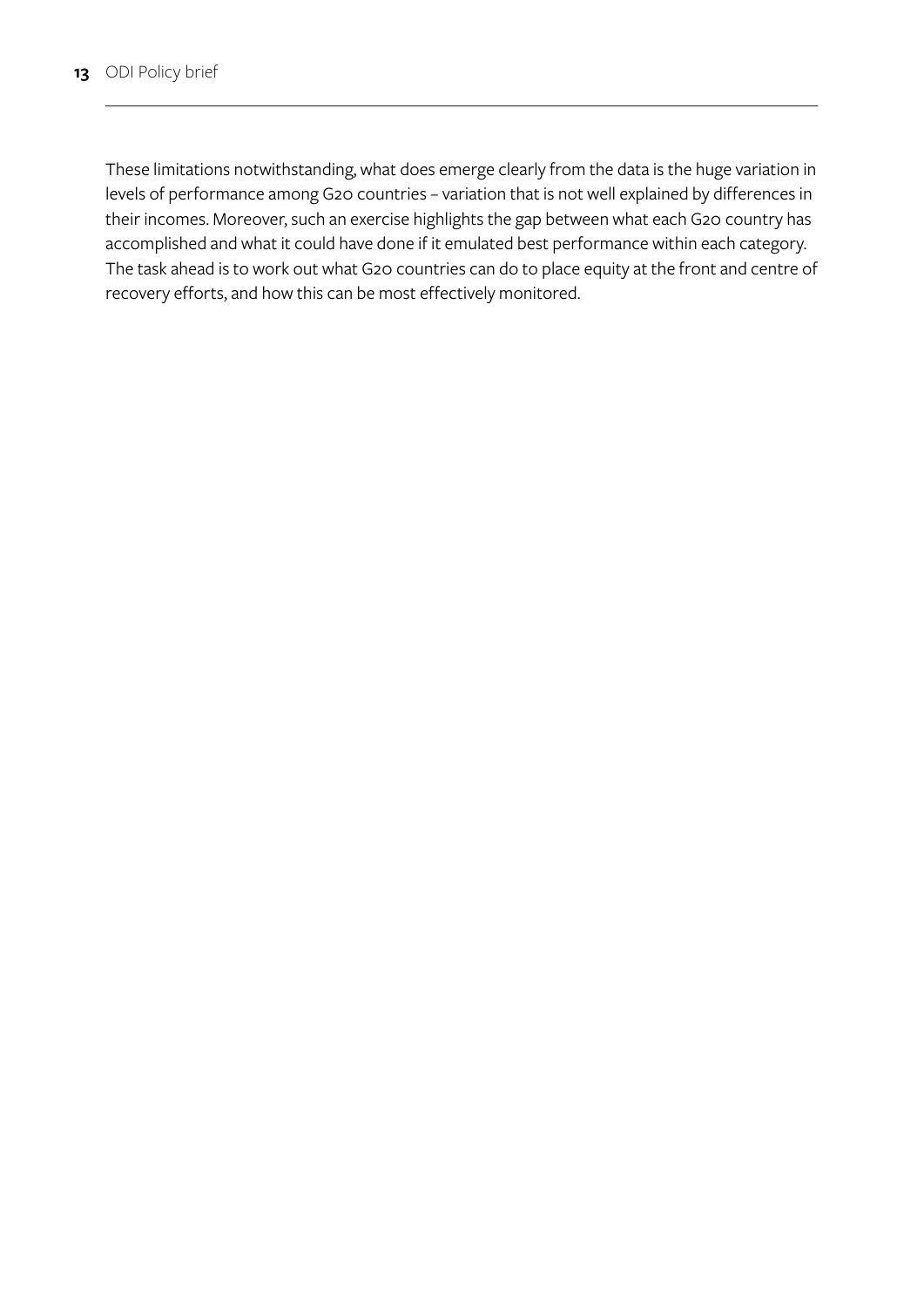These limitations notwithstanding, what does emerge clearly from the data is the huge variation in levels of performance among G20 countries – variation that is not well explained by differences in their incomes. Moreover, such an exercise highlights the gap between what each G20 country has accomplished and what it could have done if it emulated best performance within each category. The task ahead is to work out what G20 countries can do to place equity at the front and centre of recovery efforts, and how this can be most effectively monitored.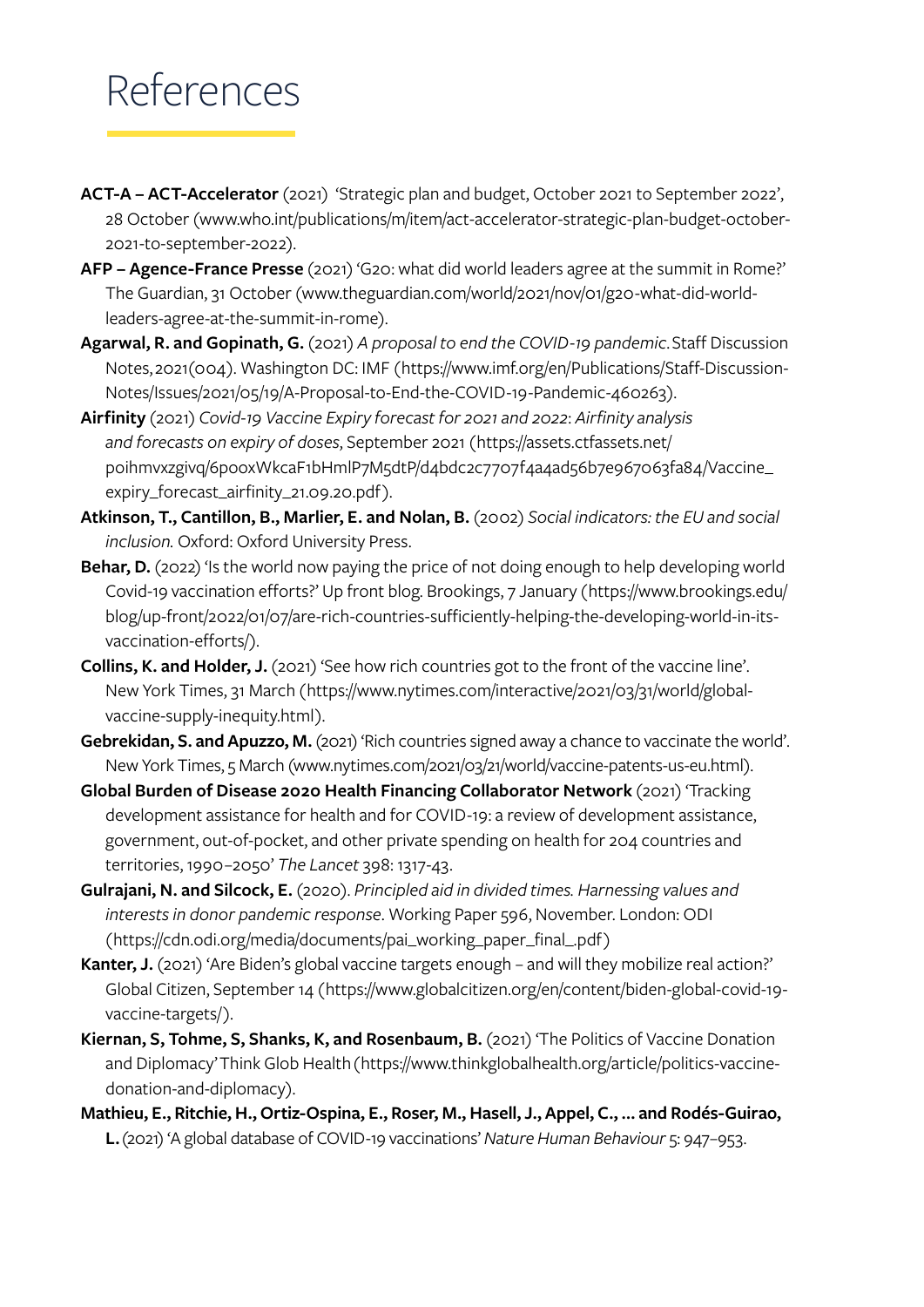# References

- **ACT-A ACT-Accelerator** (2021) 'Strategic plan and budget, October 2021 to September 2022', 28 October ([www.who.int/publications/m/item/act-accelerator-strategic-plan-budget-october-](http://www.who.int/publications/m/item/act-accelerator-strategic-plan-budget-october-2021-to-september-2022)[2021-to-september-2022\)](http://www.who.int/publications/m/item/act-accelerator-strategic-plan-budget-october-2021-to-september-2022).
- **AFP Agence-France Presse** (2021) 'G20: what did world leaders agree at the summit in Rome?' The Guardian, 31 October ([www.theguardian.com/world/2021/nov/01/g20-what-did-world](http://www.theguardian.com/world/2021/nov/01/g20-what-did-world-leaders-agree-at-the-summit-in-rome)[leaders-agree-at-the-summit-in-rome\)](http://www.theguardian.com/world/2021/nov/01/g20-what-did-world-leaders-agree-at-the-summit-in-rome).
- **Agarwal, R. and Gopinath, G.** (2021) *A proposal to end the COVID-19 pandemic*. Staff Discussion Notes, 2021(004). Washington DC: IMF ([https://www.imf.org/en/Publications/Staff-Discussion-](https://www.imf.org/en/Publications/Staff-Discussion-Notes/Issues/2021/05/19/A-Proposal-to-End-the-COVID-19-Pandemic-460263)[Notes/Issues/2021/05/19/A-Proposal-to-End-the-COVID-19-Pandemic-460263\)](https://www.imf.org/en/Publications/Staff-Discussion-Notes/Issues/2021/05/19/A-Proposal-to-End-the-COVID-19-Pandemic-460263).
- **Airfinity** (2021) *Covid-19 Vaccine Expiry forecast for 2021 and 2022*: *Airfinity analysis and forecasts on expiry of doses*, September 2021 ([https://assets.ctfassets.net/](https://assets.ctfassets.net/poihmvxzgivq/6pooxWkcaF1bHmlP7M5dtP/d4bdc2c7707f4a4ad56b7e967063fa84/Vaccine_expiry_forecast_airfinity_21.09.20.pdf) [poihmvxzgivq/6pooxWkcaF1bHmlP7M5dtP/d4bdc2c7707f4a4ad56b7e967063fa84/Vaccine\\_](https://assets.ctfassets.net/poihmvxzgivq/6pooxWkcaF1bHmlP7M5dtP/d4bdc2c7707f4a4ad56b7e967063fa84/Vaccine_expiry_forecast_airfinity_21.09.20.pdf) [expiry\\_forecast\\_airfinity\\_21.09.20.pdf\)](https://assets.ctfassets.net/poihmvxzgivq/6pooxWkcaF1bHmlP7M5dtP/d4bdc2c7707f4a4ad56b7e967063fa84/Vaccine_expiry_forecast_airfinity_21.09.20.pdf).
- **Atkinson, T., Cantillon, B., Marlier, E. and Nolan, B.** (2002) *Social indicators: the EU and social inclusion.* Oxford: Oxford University Press.
- Behar, D. (2022) 'Is the world now paying the price of not doing enough to help developing world Covid-19 vaccination efforts?' Up front blog. Brookings, 7 January ([https://www.brookings.edu/](https://www.brookings.edu/blog/up-front/2022/01/07/are-rich-countries-sufficiently-helping-the-devel) [blog/up-front/2022/01/07/are-rich-countries-sufficiently-helping-the-developing-world-in-its](https://www.brookings.edu/blog/up-front/2022/01/07/are-rich-countries-sufficiently-helping-the-devel)[vaccination-efforts/\)](https://www.brookings.edu/blog/up-front/2022/01/07/are-rich-countries-sufficiently-helping-the-devel).
- **Collins, K. and Holder, J.** (2021) 'See how rich countries got to the front of the vaccine line'. New York Times, 31 March ([https://www.nytimes.com/interactive/2021/03/31/world/global](https://www.nytimes.com/interactive/2021/03/31/world/global-vaccine-supply-inequity.html)[vaccine-supply-inequity.html](https://www.nytimes.com/interactive/2021/03/31/world/global-vaccine-supply-inequity.html)).
- Gebrekidan, S. and Apuzzo, M. (2021) 'Rich countries signed away a chance to vaccinate the world'. New York Times, 5 March [\(www.nytimes.com/2021/03/21/world/vaccine-patents-us-eu.html](http://www.nytimes.com/2021/03/21/world/vaccine-patents-us-eu.html)).
- **Global Burden of Disease 2020 Health Financing Collaborator Network** (2021) 'Tracking development assistance for health and for COVID-19: a review of development assistance, government, out-of-pocket, and other private spending on health for 204 countries and territories, 1990–2050' *The Lancet* 398: 1317-43.
- **Gulrajani, N. and Silcock, E.** (2020). *Principled aid in divided times. Harnessing values and interests in donor pandemic response*. Working Paper 596, November. London: ODI ([https://cdn.odi.org/media/documents/pai\\_working\\_paper\\_final\\_.pdf](https://cdn.odi.org/media/documents/pai_working_paper_final_.pdf))
- Kanter, J. (2021) 'Are Biden's global vaccine targets enough and will they mobilize real action?' Global Citizen, September 14 ([https://www.globalcitizen.org/en/content/biden-global-covid-19](https://www.globalcitizen.org/en/content/biden-global-covid-19-vaccine-targets/) [vaccine-targets/](https://www.globalcitizen.org/en/content/biden-global-covid-19-vaccine-targets/)).
- **Kiernan, S, Tohme, S, Shanks, K, and Rosenbaum, B.** (2021) 'The Politics of Vaccine Donation and Diplomacy' Think Glob Health ([https://www.thinkglobalhealth.org/article/politics-vaccine](https://www.thinkglobalhealth.org/article/politics-vaccine-donation-and-diplomacy)[donation-and-diplomacy](https://www.thinkglobalhealth.org/article/politics-vaccine-donation-and-diplomacy)).
- **Mathieu, E., Ritchie, H., Ortiz-Ospina, E., Roser, M., Hasell, J., Appel, C., … and Rodés-Guirao, L.** (2021) 'A global database of COVID-19 vaccinations' *Nature Human Behaviour* 5: 947–953.